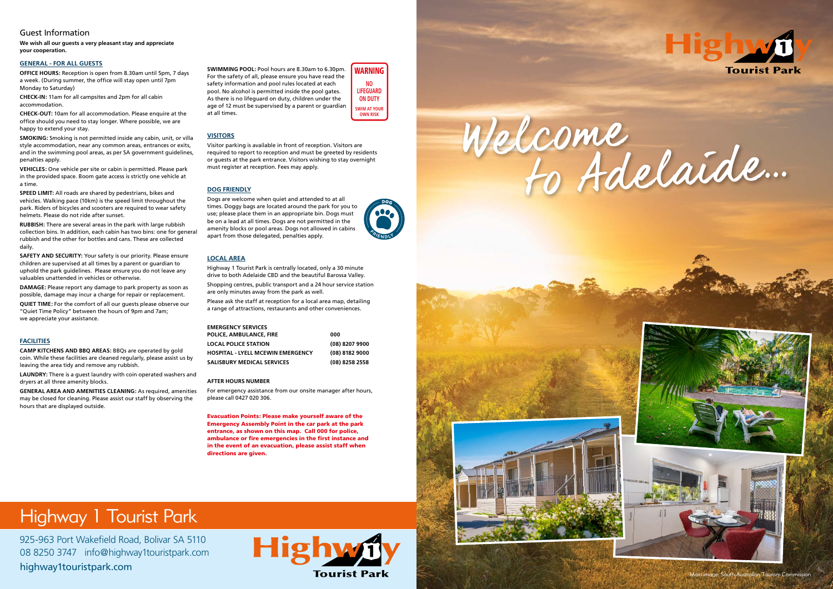## Highway 1 Tourist Park

925-963 Port Wakefield Road, Bolivar SA 5110 08 8250 3747 info@highway1touristpark.com highway1touristpark.com

**Highw Tourist Park** 



### Guest Information

**We wish all our guests a very pleasant stay and appreciate your cooperation.** 

#### **GENERAL - FOR ALL GUESTS**

**OFFICE HOURS:** Reception is open from 8.30am until 5pm, 7 days a week. (During summer, the office will stay open until 7pm Monday to Saturday)

**CHECK-IN:** 11am for all campsites and 2pm for all cabin accommodation.

**CHECK-OUT:** 10am for all accommodation. Please enquire at the office should you need to stay longer. Where possible, we are happy to extend your stay.

**SMOKING:** Smoking is not permitted inside any cabin, unit, or villa style accommodation, near any common areas, entrances or exits, and in the swimming pool areas, as per SA government guidelines, penalties apply.

**VEHICLES:** One vehicle per site or cabin is permitted. Please park in the provided space. Boom gate access is strictly one vehicle at a time.

**SPEED LIMIT:** All roads are shared by pedestrians, bikes and vehicles. Walking pace (10km) is the speed limit throughout the park. Riders of bicycles and scooters are required to wear safety helmets. Please do not ride after sunset.

**RUBBISH:** There are several areas in the park with large rubbish collection bins. In addition, each cabin has two bins: one for general rubbish and the other for bottles and cans. These are collected daily.

**SAFETY AND SECURITY:** Your safety is our priority. Please ensure children are supervised at all times by a parent or guardian to uphold the park guidelines. Please ensure you do not leave any valuables unattended in vehicles or otherwise.

**DAMAGE:** Please report any damage to park property as soon as possible, damage may incur a charge for repair or replacement.

**QUIET TIME:** For the comfort of all our guests please observe our "Quiet Time Policy" between the hours of 9pm and 7am; we appreciate your assistance.

#### **FACILITIES**

**CAMP KITCHENS AND BBQ AREAS:** BBQs are operated by gold coin. While these facilities are cleaned regularly, please assist us by leaving the area tidy and remove any rubbish.

**LAUNDRY:** There is a guest laundry with coin operated washers and dryers at all three amenity blocks.

**GENERAL AREA AND AMENITIES CLEANING:** As required, amenities may be closed for cleaning. Please assist our staff by observing the hours that are displayed outside.

**SWIMMING POOL:** Pool hours are 8.30am to 6.30pm. For the safety of all, please ensure you have read the safety information and pool rules located at each pool. No alcohol is permitted inside the pool gates. As there is no lifeguard on duty, children under the age of 12 must be supervised by a parent or guardian at all times.

#### **VISITORS**

Visitor parking is available in front of reception. Visitors are required to report to reception and must be greeted by residents or guests at the park entrance. Visitors wishing to stay overnight must register at reception. Fees may apply.

#### **DOG FRIENDLY**

Dogs are welcome when quiet and attended to at all times. Doggy bags are located around the park for you to use; please place them in an appropriate bin. Dogs must be on a lead at all times. Dogs are not permitted in the amenity blocks or pool areas. Dogs not allowed in cabins apart from those delegated, penalties apply.

#### **LOCAL AREA**

Highway 1 Tourist Park is centrally located, only a 30 minute drive to both Adelaide CBD and the beautiful Barossa Valley.

Shopping centres, public transport and a 24 hour service station are only minutes away from the park as well.

Please ask the staff at reception for a local area map, detailing a range of attractions, restaurants and other conveniences.

| POLICE. AMBULANCE. FIRE           | 000              |
|-----------------------------------|------------------|
| LOCAL POLICE STATION              | $(08)$ 8207 9900 |
| HOSPITAL - LYELL MCEWIN EMERGENCY | (08) 8182 9000   |
| SALISBURY MEDICAL SERVICES        | (08) 8258 2558   |

#### **AFTER HOURS NUMBER**

For emergency assistance from our onsite manager after hours, please call 0427 020 306.

Evacuation Points: Please make yourself aware of the Emergency Assembly Point in the car park at the park entrance, as shown on this map. Call 000 for police, ambulance or fire emergencies in the first instance and in the event of an evacuation, please assist staff when directions are given.